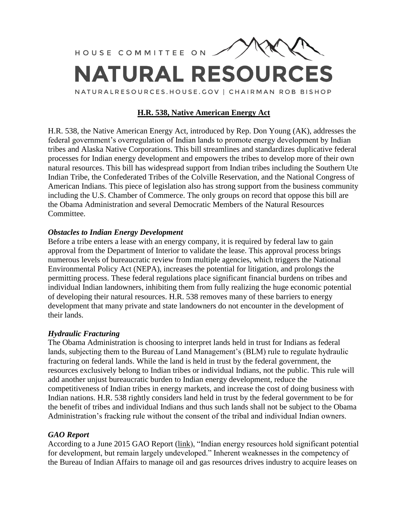

# **H.R. 538, Native American Energy Act**

H.R. 538, the Native American Energy Act, introduced by Rep. Don Young (AK), addresses the federal government's overregulation of Indian lands to promote energy development by Indian tribes and Alaska Native Corporations. This bill streamlines and standardizes duplicative federal processes for Indian energy development and empowers the tribes to develop more of their own natural resources. This bill has widespread support from Indian tribes including the Southern Ute Indian Tribe, the Confederated Tribes of the Colville Reservation, and the National Congress of American Indians. This piece of legislation also has strong support from the business community including the U.S. Chamber of Commerce. The only groups on record that oppose this bill are the Obama Administration and several Democratic Members of the Natural Resources Committee.

### *Obstacles to Indian Energy Development*

Before a tribe enters a lease with an energy company, it is required by federal law to gain approval from the Department of Interior to validate the lease. This approval process brings numerous levels of bureaucratic review from multiple agencies, which triggers the National Environmental Policy Act (NEPA), increases the potential for litigation, and prolongs the permitting process. These federal regulations place significant financial burdens on tribes and individual Indian landowners, inhibiting them from fully realizing the huge economic potential of developing their natural resources. H.R. 538 removes many of these barriers to energy development that many private and state landowners do not encounter in the development of their lands.

### *Hydraulic Fracturing*

The Obama Administration is choosing to interpret lands held in trust for Indians as federal lands, subjecting them to the Bureau of Land Management's (BLM) rule to regulate hydraulic fracturing on federal lands. While the land is held in trust by the federal government, the resources exclusively belong to Indian tribes or individual Indians, not the public. This rule will add another unjust bureaucratic burden to Indian energy development, reduce the competitiveness of Indian tribes in energy markets, and increase the cost of doing business with Indian nations. H.R. 538 rightly considers land held in trust by the federal government to be for the benefit of tribes and individual Indians and thus such lands shall not be subject to the Obama Administration's fracking rule without the consent of the tribal and individual Indian owners.

### *GAO Report*

According to a June 2015 GAO Report [\(link\)](http://www.gao.gov/products/GAO-15-502), "Indian energy resources hold significant potential for development, but remain largely undeveloped." Inherent weaknesses in the competency of the Bureau of Indian Affairs to manage oil and gas resources drives industry to acquire leases on